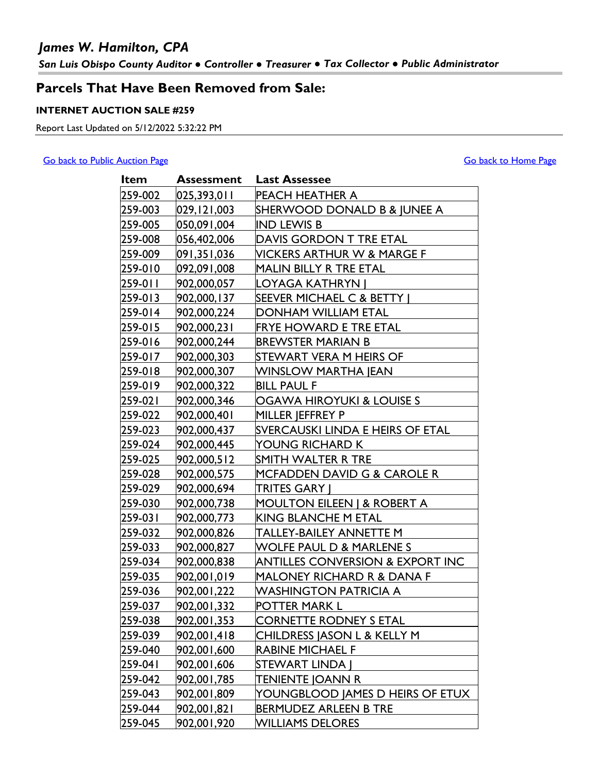## *James W. Hamilton, CPA*

*San Luis Obispo County Auditor ● Controller ● Treasurer ● Tax Collector ● Public Administrator*

## **Parcels That Have Been Removed from Sale:**

### **INTERNET AUCTION SALE #259**

Report Last Updated on 5/12/2022 5:32:22 PM

#### [Go back to Public Auction Page](http://www.slocounty.ca.gov/Departments/Auditor-Controller-Treasurer-Tax-Collector/Tax-Collector/Services/Public-Auction-of-Tax-Defaulted-Property.aspx) [Go back to Home Page](http://www.slocountytax.org/)

| Item    | Assessment    | <b>Last Assessee</b>                        |
|---------|---------------|---------------------------------------------|
| 259-002 | 025,393,011   | PEACH HEATHER A                             |
| 259-003 | 029, 121, 003 | SHERWOOD DONALD B & JUNEE A                 |
| 259-005 | 050,091,004   | <b>IND LEWIS B</b>                          |
| 259-008 | 056,402,006   | DAVIS GORDON T TRE ETAL                     |
| 259-009 | 091,351,036   | <b>VICKERS ARTHUR W &amp; MARGE F</b>       |
| 259-010 | 092,091,008   | MALIN BILLY R TRE ETAL                      |
| 259-011 | 902,000,057   | LOYAGA KATHRYN                              |
| 259-013 | 902,000,137   | SEEVER MICHAEL C & BETTY                    |
| 259-014 | 902,000,224   | DONHAM WILLIAM ETAL                         |
| 259-015 | 902,000,231   | FRYE HOWARD E TRE ETAL                      |
| 259-016 | 902,000,244   | <b>BREWSTER MARIAN B</b>                    |
| 259-017 | 902,000,303   | STEWART VERA M HEIRS OF                     |
| 259-018 | 902,000,307   | <b>WINSLOW MARTHA JEAN</b>                  |
| 259-019 | 902,000,322   | <b>BILL PAUL F</b>                          |
| 259-021 | 902,000,346   | OGAWA HIROYUKI & LOUISE S                   |
| 259-022 | 902,000,401   | MILLER JEFFREY P                            |
| 259-023 | 902,000,437   | SVERCAUSKI LINDA E HEIRS OF ETAL            |
| 259-024 | 902,000,445   | YOUNG RICHARD K                             |
| 259-025 | 902,000,512   | SMITH WALTER R TRE                          |
| 259-028 | 902,000,575   | MCFADDEN DAVID G & CAROLE R                 |
| 259-029 | 902,000,694   | TRITES GARY J                               |
| 259-030 | 902,000,738   | <b>MOULTON EILEEN   &amp; ROBERT A</b>      |
| 259-031 | 902,000,773   | <b>KING BLANCHE M ETAL</b>                  |
| 259-032 | 902,000,826   | TALLEY-BAILEY ANNETTE M                     |
| 259-033 | 902,000,827   | WOLFE PAUL D & MARLENE S                    |
| 259-034 | 902,000,838   | <b>ANTILLES CONVERSION &amp; EXPORT INC</b> |
| 259-035 | 902,001,019   | MALONEY RICHARD R & DANA F                  |
| 259-036 | 902,001,222   | <b>WASHINGTON PATRICIA A</b>                |
| 259-037 | 902,001,332   | POTTER MARK L                               |
| 259-038 | 902,001,353   | <b>CORNETTE RODNEY S ETAL</b>               |
| 259-039 | 902,001,418   | CHILDRESS JASON L & KELLY M                 |
| 259-040 | 902,001,600   | RABINE MICHAEL F                            |
| 259-041 | 902,001,606   | <b>STEWART LINDA  </b>                      |
| 259-042 | 902,001,785   | TENIENTE JOANN R                            |
| 259-043 | 902,001,809   | YOUNGBLOOD JAMES D HEIRS OF ETUX            |
| 259-044 | 902,001,821   | BERMUDEZ ARLEEN B TRE                       |
| 259-045 | 902,001,920   | <b>WILLIAMS DELORES</b>                     |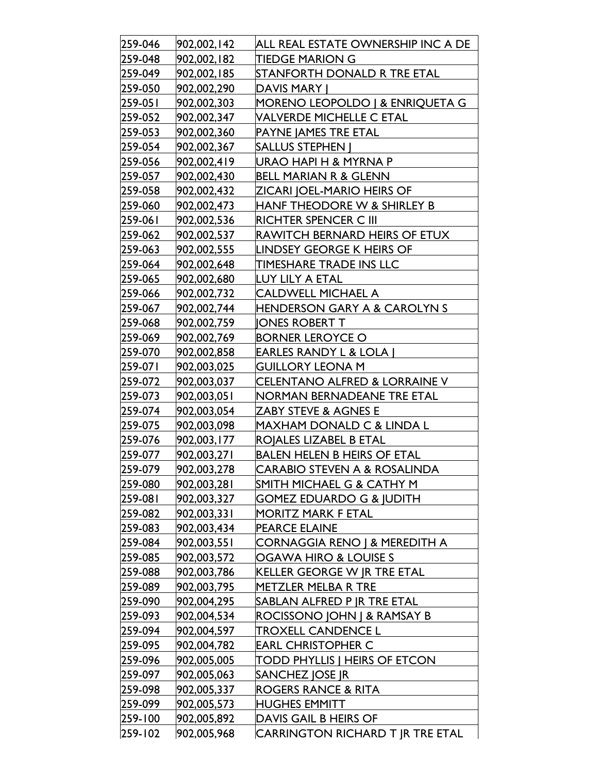| 259-046 | 902,002,142 | ALL REAL ESTATE OWNERSHIP INC A DE       |
|---------|-------------|------------------------------------------|
| 259-048 | 902,002,182 | <b>TIEDGE MARION G</b>                   |
| 259-049 | 902,002,185 | STANFORTH DONALD R TRE ETAL              |
| 259-050 | 902,002,290 | <b>DAVIS MARY I</b>                      |
| 259-051 | 902,002,303 | MORENO LEOPOLDO   & ENRIQUETA G          |
| 259-052 | 902,002,347 | <b>VALVERDE MICHELLE C ETAL</b>          |
| 259-053 | 902,002,360 | PAYNE JAMES TRE ETAL                     |
| 259-054 | 902,002,367 | <b>SALLUS STEPHEN  </b>                  |
| 259-056 | 902,002,419 | URAO HAPI H & MYRNA P                    |
| 259-057 | 902,002,430 | <b>BELL MARIAN R &amp; GLENN</b>         |
| 259-058 | 902,002,432 | <b>ZICARI JOEL-MARIO HEIRS OF</b>        |
| 259-060 | 902,002,473 | <b>HANF THEODORE W &amp; SHIRLEY B</b>   |
| 259-061 | 902,002,536 | RICHTER SPENCER C III                    |
| 259-062 | 902,002,537 | RAWITCH BERNARD HEIRS OF ETUX            |
| 259-063 | 902,002,555 | LINDSEY GEORGE K HEIRS OF                |
| 259-064 | 902,002,648 | <b>TIMESHARE TRADE INS LLC</b>           |
| 259-065 | 902,002,680 | LUY LILY A ETAL                          |
| 259-066 | 902,002,732 | <b>CALDWELL MICHAEL A</b>                |
| 259-067 | 902,002,744 | <b>HENDERSON GARY A &amp; CAROLYN S</b>  |
| 259-068 | 902,002,759 | <b>JONES ROBERT T</b>                    |
| 259-069 | 902,002,769 | <b>BORNER LEROYCE O</b>                  |
| 259-070 | 902,002,858 | <b>EARLES RANDY L &amp; LOLA  </b>       |
| 259-071 | 902,003,025 | <b>GUILLORY LEONA M</b>                  |
| 259-072 | 902,003,037 | CELENTANO ALFRED & LORRAINE V            |
| 259-073 | 902,003,051 | NORMAN BERNADEANE TRE ETAL               |
| 259-074 | 902,003,054 | <b>ZABY STEVE &amp; AGNES E</b>          |
| 259-075 | 902,003,098 | <b>MAXHAM DONALD C &amp; LINDA L</b>     |
| 259-076 | 902,003,177 | <b>ROJALES LIZABEL B ETAL</b>            |
| 259-077 | 902,003,271 | <b>BALEN HELEN B HEIRS OF ETAL</b>       |
| 259-079 | 902,003,278 | <b>CARABIO STEVEN A &amp; ROSALINDA</b>  |
| 259-080 | 902,003,281 | SMITH MICHAEL G & CATHY M                |
| 259-081 | 902,003,327 | <b>GOMEZ EDUARDO G &amp; JUDITH</b>      |
| 259-082 | 902,003,331 | <b>MORITZ MARK F ETAL</b>                |
| 259-083 | 902,003,434 | PEARCE ELAINE                            |
| 259-084 | 902,003,551 | <b>CORNAGGIA RENO   &amp; MEREDITH A</b> |
| 259-085 | 902,003,572 | OGAWA HIRO & LOUISE S                    |
| 259-088 | 902,003,786 | <b>KELLER GEORGE W JR TRE ETAL</b>       |
| 259-089 | 902,003,795 | <b>METZLER MELBA R TRE</b>               |
| 259-090 | 902,004,295 | SABLAN ALFRED P JR TRE ETAL              |
| 259-093 | 902,004,534 | ROCISSONO JOHN J & RAMSAY B              |
| 259-094 | 902,004,597 | <b>TROXELL CANDENCE L</b>                |
| 259-095 | 902,004,782 | <b>EARL CHRISTOPHER C</b>                |
| 259-096 | 902,005,005 | <b>TODD PHYLLIS   HEIRS OF ETCON</b>     |
| 259-097 | 902,005,063 | SANCHEZ JOSE JR                          |
| 259-098 | 902,005,337 | <b>ROGERS RANCE &amp; RITA</b>           |
| 259-099 | 902,005,573 | <b>HUGHES EMMITT</b>                     |
| 259-100 | 902,005,892 | DAVIS GAIL B HEIRS OF                    |
| 259-102 | 902,005,968 | CARRINGTON RICHARD T JR TRE ETAL         |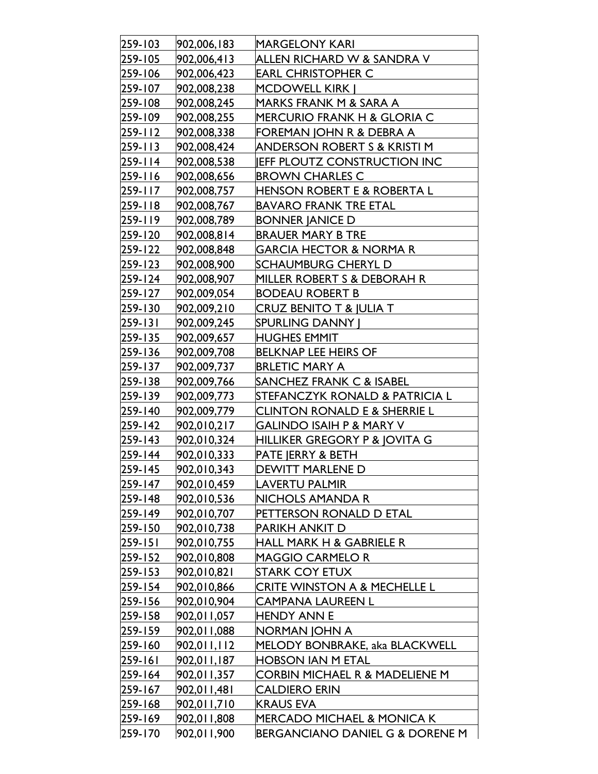| 259-103       | 902,006,183 | <b>MARGELONY KARI</b>                     |
|---------------|-------------|-------------------------------------------|
| 259-105       | 902,006,413 | ALLEN RICHARD W & SANDRA V                |
| 259-106       | 902,006,423 | <b>EARL CHRISTOPHER C</b>                 |
| 259-107       | 902,008,238 | <b>MCDOWELL KIRK  </b>                    |
| 259-108       | 902,008,245 | MARKS FRANK M & SARA A                    |
| 259-109       | 902,008,255 | MERCURIO FRANK H & GLORIA C               |
| 259-112       | 902,008,338 | FOREMAN JOHN R & DEBRA A                  |
| $259 - 113$   | 902,008,424 | ANDERSON ROBERT S & KRISTI M              |
| 259-114       | 902,008,538 | <b>JEFF PLOUTZ CONSTRUCTION INC</b>       |
| $ 259 - 116 $ | 902,008,656 | <b>BROWN CHARLES C</b>                    |
| 259-117       | 902,008,757 | <b>HENSON ROBERT E &amp; ROBERTA L</b>    |
| $259 - 118$   | 902,008,767 | <b>BAVARO FRANK TRE ETAL</b>              |
| 259-119       | 902,008,789 | <b>BONNER JANICE D</b>                    |
| 259-120       | 902,008,814 | <b>BRAUER MARY B TRE</b>                  |
| 259-122       | 902,008,848 | <b>GARCIA HECTOR &amp; NORMA R</b>        |
| $259 - 123$   | 902,008,900 | SCHAUMBURG CHERYL D                       |
| 259-124       | 902,008,907 | MILLER ROBERT S & DEBORAH R               |
| 259-127       | 902,009,054 | <b>BODEAU ROBERT B</b>                    |
| 259-130       | 902,009,210 | CRUZ BENITO T & JULIA T                   |
| $259 - 131$   | 902,009,245 | <b>SPURLING DANNY  </b>                   |
| 259-135       | 902,009,657 | <b>HUGHES EMMIT</b>                       |
| $259 - 136$   | 902,009,708 | <b>BELKNAP LEE HEIRS OF</b>               |
| 259-137       | 902,009,737 | <b>BRLETIC MARY A</b>                     |
| $259 - 138$   | 902,009,766 | SANCHEZ FRANK C & ISABEL                  |
| 259-139       | 902,009,773 | STEFANCZYK RONALD & PATRICIA L            |
| $259 - 140$   | 902,009,779 | <b>CLINTON RONALD E &amp; SHERRIE L</b>   |
| $ 259 - 142 $ | 902,010,217 | <b>GALINDO ISAIH P &amp; MARY V</b>       |
| $ 259 - 143 $ | 902,010,324 | HILLIKER GREGORY P & JOVITA G             |
| $259 - 144$   | 902,010,333 | PATE JERRY & BETH                         |
| 259-145       | 902,010,343 | DEWITT MARLENE D                          |
| 259-147       | 902,010,459 | <b>LAVERTU PALMIR</b>                     |
| 259-148       | 902,010,536 | NICHOLS AMANDA R                          |
| 259-149       | 902,010,707 | PETTERSON RONALD D ETAL                   |
| $259 - 150$   | 902,010,738 | <b>PARIKH ANKIT D</b>                     |
| $ 259 - 151 $ | 902,010,755 | <b>HALL MARK H &amp; GABRIELE R</b>       |
| $259 - 152$   | 902,010,808 | <b>MAGGIO CARMELO R</b>                   |
| $ 259 - 153 $ | 902,010,821 | <b>STARK COY ETUX</b>                     |
| $259 - 154$   | 902,010,866 | <b>CRITE WINSTON A &amp; MECHELLE L</b>   |
| 259-156       | 902,010,904 | <b>CAMPANA LAUREEN L</b>                  |
| $259 - 158$   | 902,011,057 | <b>HENDY ANN E</b>                        |
| $259 - 159$   | 902,011,088 | NORMAN JOHN A                             |
| $259 - 160$   | 902,011,112 | MELODY BONBRAKE, aka BLACKWELL            |
| $259 - 161$   | 902,011,187 | <b>HOBSON IAN M ETAL</b>                  |
| $259 - 164$   | 902,011,357 | <b>CORBIN MICHAEL R &amp; MADELIENE M</b> |
| 259-167       | 902,011,481 | <b>CALDIERO ERIN</b>                      |
| $259 - 168$   | 902,011,710 | <b>KRAUS EVA</b>                          |
| $259 - 169$   | 902,011,808 | <b>MERCADO MICHAEL &amp; MONICA K</b>     |
| 259-170       | 902,011,900 | BERGANCIANO DANIEL G & DORENE M           |